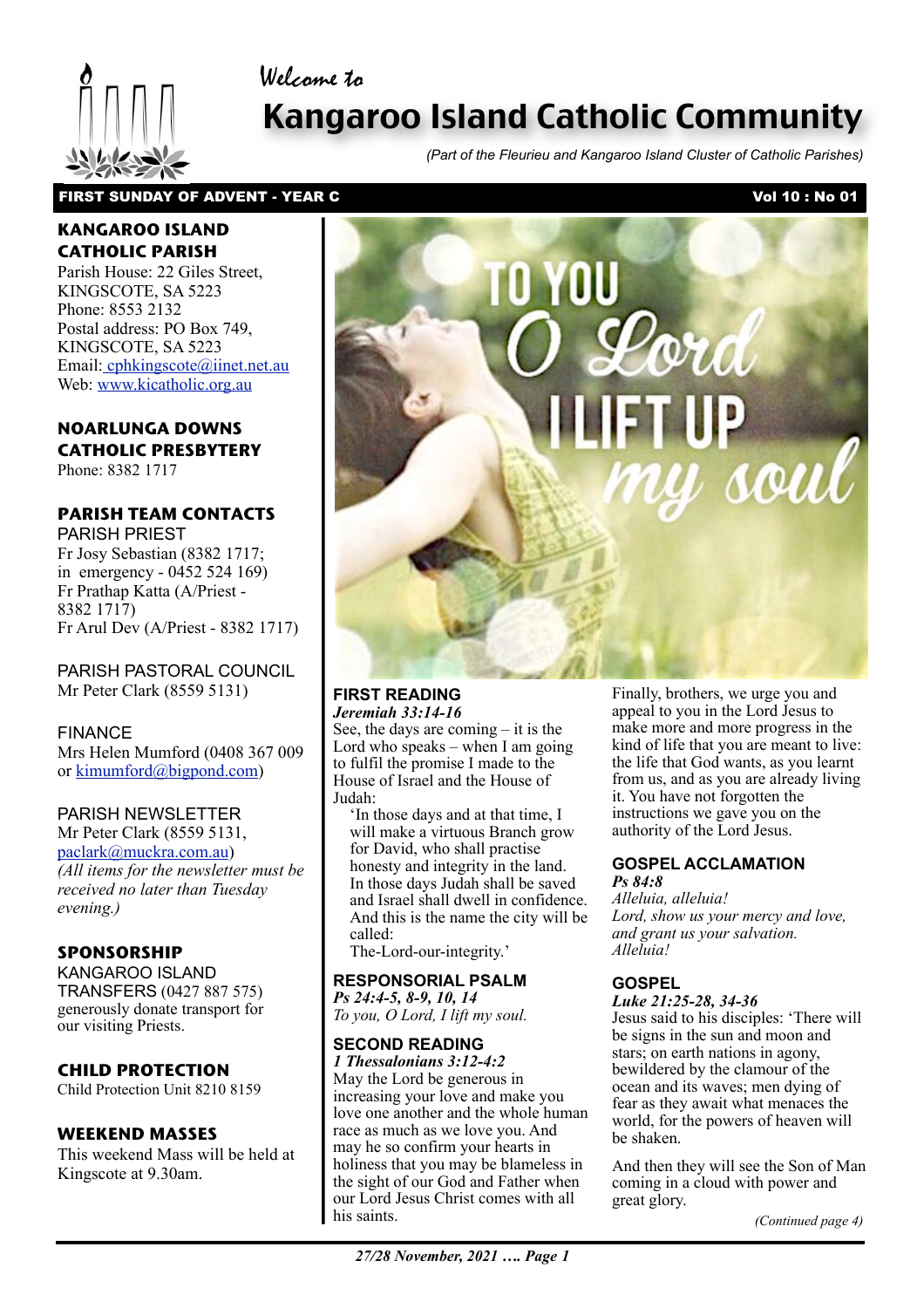Welcome to



# Kangaroo Island Catholic Community

*(Part of the Fleurieu and Kangaroo Island Cluster of Catholic Parishes)*

## FIRST SUNDAY OF ADVENT - YEAR C VOLUME 2008 2012 10: No 01

## **KANGAROO ISLAND CATHOLIC PARISH**

Parish House: 22 Giles Street, KINGSCOTE, SA 5223 Phone: 8553 2132 Postal address: PO Box 749, KINGSCOTE, SA 5223 Email[: cphkingscote@iinet.net.au](mailto:cphkingscote@iinet.net.au) Web: [www.kicatholic.org.au](http://www.kicatholic.org.au)

## **NOARLUNGA DOWNS CATHOLIC PRESBYTERY**

Phone: 8382 1717

## **PARISH TEAM CONTACTS**

PARISH PRIEST Fr Josy Sebastian (8382 1717; in emergency - 0452 524 169) Fr Prathap Katta (A/Priest - 8382 1717) Fr Arul Dev (A/Priest - 8382 1717)

PARISH PASTORAL COUNCIL Mr Peter Clark (8559 5131)

## FINANCE Mrs Helen Mumford (0408 367 009 or [kimumford@bigpond.com\)](mailto:kimumford@bigpond.com)

## PARISH NEWSLETTER

Mr Peter Clark (8559 5131, [paclark@muckra.com.au\)](mailto:paclark@muckra.com.au) *(All items for the newsletter must be received no later than Tuesday evening.)*

## **SPONSORSHIP**

KANGAROO ISLAND TRANSFERS (0427 887 575) generously donate transport for our visiting Priests.

## **CHILD PROTECTION**

Child Protection Unit 8210 8159

## **WEEKEND MASSES**

This weekend Mass will be held at Kingscote at 9.30am.



## **FIRST READING** *Jeremiah 33:14-16*

See, the days are coming  $-$  it is the Lord who speaks – when I am going to fulfil the promise I made to the House of Israel and the House of Judah:

'In those days and at that time, I will make a virtuous Branch grow for David, who shall practise honesty and integrity in the land. In those days Judah shall be saved and Israel shall dwell in confidence. And this is the name the city will be called:

The-Lord-our-integrity.'

## **RESPONSORIAL PSALM**

*Ps 24:4-5, 8-9, 10, 14 To you, O Lord, I lift my soul.*

## **SECOND READING**

*1 Thessalonians 3:12-4:2* May the Lord be generous in increasing your love and make you love one another and the whole human race as much as we love you. And may he so confirm your hearts in holiness that you may be blameless in the sight of our God and Father when our Lord Jesus Christ comes with all his saints.

Finally, brothers, we urge you and appeal to you in the Lord Jesus to make more and more progress in the kind of life that you are meant to live: the life that God wants, as you learnt from us, and as you are already living it. You have not forgotten the instructions we gave you on the authority of the Lord Jesus.

## **GOSPEL ACCLAMATION** *Ps 84:8*

*Alleluia, alleluia! Lord, show us your mercy and love, and grant us your salvation. Alleluia!*

## **GOSPEL**

*Luke 21:25-28, 34-36*

Jesus said to his disciples: 'There will be signs in the sun and moon and stars; on earth nations in agony, bewildered by the clamour of the ocean and its waves; men dying of fear as they await what menaces the world, for the powers of heaven will be shaken.

And then they will see the Son of Man coming in a cloud with power and great glory.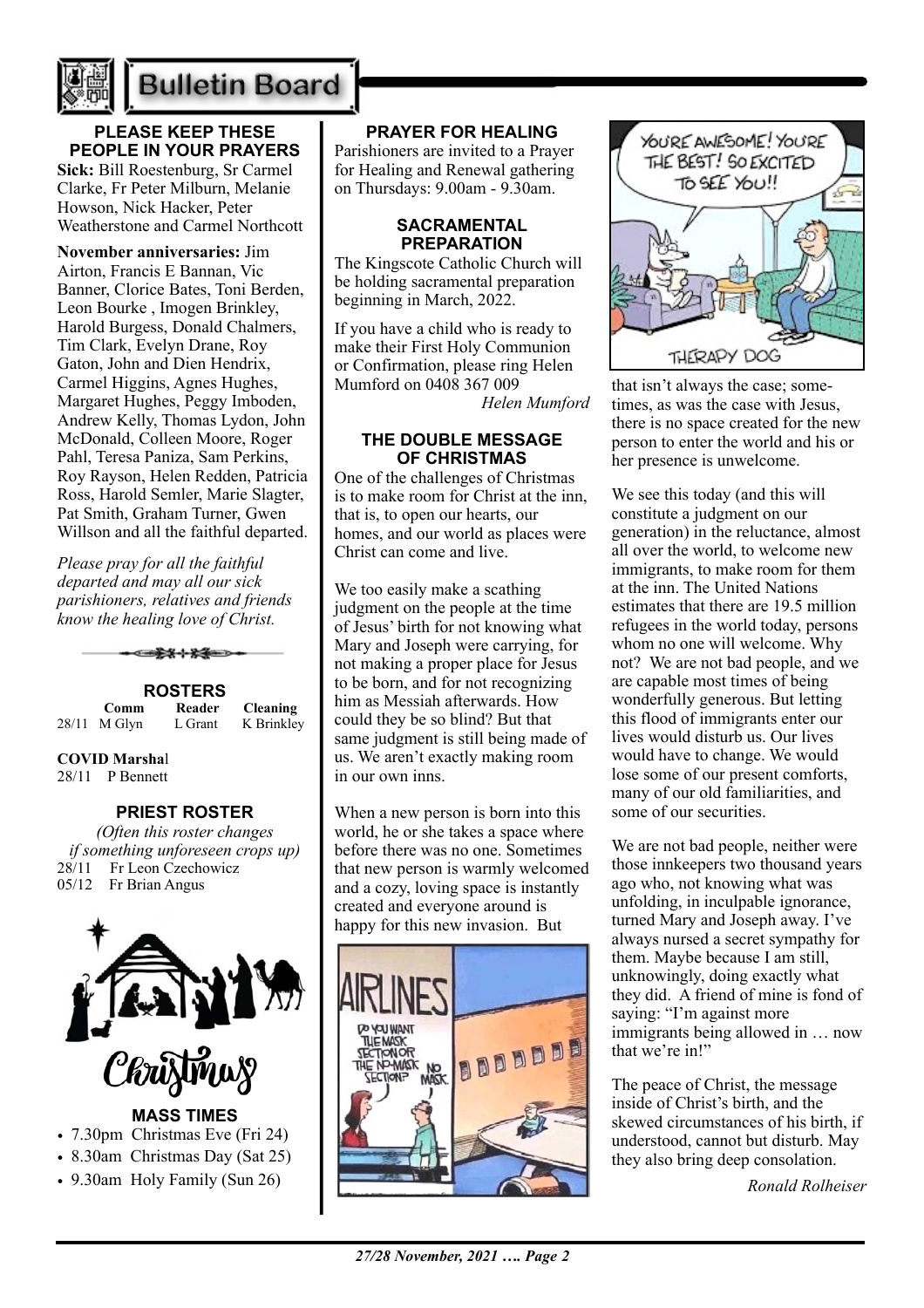

# **Bulletin Board**

## **PLEASE KEEP THESE PEOPLE IN YOUR PRAYERS Sick:** Bill Roestenburg, Sr Carmel

Clarke, Fr Peter Milburn, Melanie Howson, Nick Hacker, Peter Weatherstone and Carmel Northcott

**November anniversaries:** Jim Airton, Francis E Bannan, Vic Banner, Clorice Bates, Toni Berden, Leon Bourke , Imogen Brinkley, Harold Burgess, Donald Chalmers, Tim Clark, Evelyn Drane, Roy Gaton, John and Dien Hendrix, Carmel Higgins, Agnes Hughes, Margaret Hughes, Peggy Imboden, Andrew Kelly, Thomas Lydon, John McDonald, Colleen Moore, Roger Pahl, Teresa Paniza, Sam Perkins, Roy Rayson, Helen Redden, Patricia Ross, Harold Semler, Marie Slagter, Pat Smith, Graham Turner, Gwen Willson and all the faithful departed.

*Please pray for all the faithful departed and may all our sick parishioners, relatives and friends know the healing love of Christ.*

| $\overline{1}$ |                |                |                 |
|----------------|----------------|----------------|-----------------|
|                |                | <b>ROSTERS</b> |                 |
|                | Comm           | Reader         | <b>Cleaning</b> |
|                | $28/11$ M Glyn | L Grant        | K Brinkley      |

## **COVID Marsha**l

28/11 P Bennett

## **PRIEST ROSTER**

*(Often this roster changes if something unforeseen crops up)* 28/11 Fr Leon Czechowicz 05/12 Fr Brian Angus



- 7.30pm Christmas Eve (Fri 24)
- 8.30am Christmas Day (Sat 25)
- 9.30am Holy Family (Sun 26)

## **PRAYER FOR HEALING**

Parishioners are invited to a Prayer for Healing and Renewal gathering on Thursdays: 9.00am - 9.30am.

## **SACRAMENTAL PREPARATION**

The Kingscote Catholic Church will be holding sacramental preparation beginning in March, 2022.

If you have a child who is ready to make their First Holy Communion or Confirmation, please ring Helen Mumford on 0408 367 009 *Helen Mumford*

## **THE DOUBLE MESSAGE OF CHRISTMAS**

One of the challenges of Christmas is to make room for Christ at the inn, that is, to open our hearts, our homes, and our world as places were Christ can come and live.

We too easily make a scathing judgment on the people at the time of Jesus' birth for not knowing what Mary and Joseph were carrying, for not making a proper place for Jesus to be born, and for not recognizing him as Messiah afterwards. How could they be so blind? But that same judgment is still being made of us. We aren't exactly making room in our own inns.

When a new person is born into this world, he or she takes a space where before there was no one. Sometimes that new person is warmly welcomed and a cozy, loving space is instantly created and everyone around is happy for this new invasion. But





that isn't always the case; sometimes, as was the case with Jesus, there is no space created for the new person to enter the world and his or her presence is unwelcome.

We see this today (and this will constitute a judgment on our generation) in the reluctance, almost all over the world, to welcome new immigrants, to make room for them at the inn. The United Nations estimates that there are 19.5 million refugees in the world today, persons whom no one will welcome. Why not? We are not bad people, and we are capable most times of being wonderfully generous. But letting this flood of immigrants enter our lives would disturb us. Our lives would have to change. We would lose some of our present comforts, many of our old familiarities, and some of our securities.

We are not bad people, neither were those innkeepers two thousand years ago who, not knowing what was unfolding, in inculpable ignorance, turned Mary and Joseph away. I've always nursed a secret sympathy for them. Maybe because I am still, unknowingly, doing exactly what they did. A friend of mine is fond of saying: "I'm against more immigrants being allowed in … now that we're in!"

The peace of Christ, the message inside of Christ's birth, and the skewed circumstances of his birth, if understood, cannot but disturb. May they also bring deep consolation.

*Ronald Rolheiser*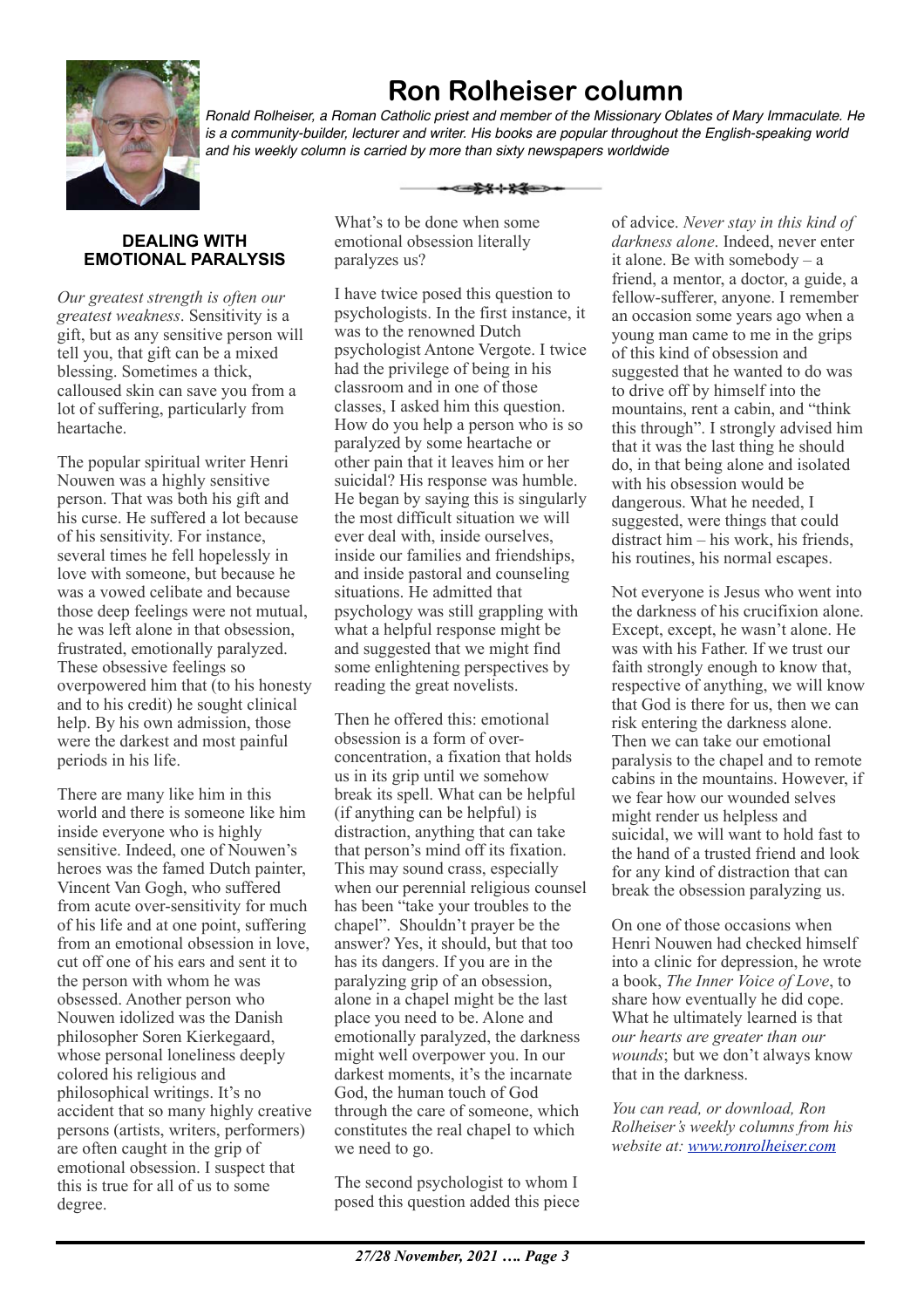

# **Ron Rolheiser column**

*Ronald Rolheiser, a Roman Catholic priest and member of the Missionary Oblates of Mary Immaculate. He is a community-builder, lecturer and writer. His books are popular throughout the English-speaking world and his weekly column is carried by more than sixty newspapers worldwide*

<del>- 21 - 24 - 2</del>

## **DEALING WITH EMOTIONAL PARALYSIS**

*Our greatest strength is often our greatest weakness*. Sensitivity is a gift, but as any sensitive person will tell you, that gift can be a mixed blessing. Sometimes a thick, calloused skin can save you from a lot of suffering, particularly from heartache.

The popular spiritual writer Henri Nouwen was a highly sensitive person. That was both his gift and his curse. He suffered a lot because of his sensitivity. For instance, several times he fell hopelessly in love with someone, but because he was a vowed celibate and because those deep feelings were not mutual, he was left alone in that obsession, frustrated, emotionally paralyzed. These obsessive feelings so overpowered him that (to his honesty and to his credit) he sought clinical help. By his own admission, those were the darkest and most painful periods in his life.

There are many like him in this world and there is someone like him inside everyone who is highly sensitive. Indeed, one of Nouwen's heroes was the famed Dutch painter, Vincent Van Gogh, who suffered from acute over-sensitivity for much of his life and at one point, suffering from an emotional obsession in love, cut off one of his ears and sent it to the person with whom he was obsessed. Another person who Nouwen idolized was the Danish philosopher Soren Kierkegaard, whose personal loneliness deeply colored his religious and philosophical writings. It's no accident that so many highly creative persons (artists, writers, performers) are often caught in the grip of emotional obsession. I suspect that this is true for all of us to some degree.

What's to be done when some emotional obsession literally paralyzes us?

I have twice posed this question to psychologists. In the first instance, it was to the renowned Dutch psychologist Antone Vergote. I twice had the privilege of being in his classroom and in one of those classes, I asked him this question. How do you help a person who is so paralyzed by some heartache or other pain that it leaves him or her suicidal? His response was humble. He began by saying this is singularly the most difficult situation we will ever deal with, inside ourselves, inside our families and friendships, and inside pastoral and counseling situations. He admitted that psychology was still grappling with what a helpful response might be and suggested that we might find some enlightening perspectives by reading the great novelists.

Then he offered this: emotional obsession is a form of overconcentration, a fixation that holds us in its grip until we somehow break its spell. What can be helpful (if anything can be helpful) is distraction, anything that can take that person's mind off its fixation. This may sound crass, especially when our perennial religious counsel has been "take your troubles to the chapel". Shouldn't prayer be the answer? Yes, it should, but that too has its dangers. If you are in the paralyzing grip of an obsession, alone in a chapel might be the last place you need to be. Alone and emotionally paralyzed, the darkness might well overpower you. In our darkest moments, it's the incarnate God, the human touch of God through the care of someone, which constitutes the real chapel to which we need to go.

The second psychologist to whom I posed this question added this piece

of advice. *Never stay in this kind of darkness alone*. Indeed, never enter it alone. Be with somebody – a friend, a mentor, a doctor, a guide, a fellow-sufferer, anyone. I remember an occasion some years ago when a young man came to me in the grips of this kind of obsession and suggested that he wanted to do was to drive off by himself into the mountains, rent a cabin, and "think this through". I strongly advised him that it was the last thing he should do, in that being alone and isolated with his obsession would be dangerous. What he needed, I suggested, were things that could distract him – his work, his friends, his routines, his normal escapes.

Not everyone is Jesus who went into the darkness of his crucifixion alone. Except, except, he wasn't alone. He was with his Father. If we trust our faith strongly enough to know that, respective of anything, we will know that God is there for us, then we can risk entering the darkness alone. Then we can take our emotional paralysis to the chapel and to remote cabins in the mountains. However, if we fear how our wounded selves might render us helpless and suicidal, we will want to hold fast to the hand of a trusted friend and look for any kind of distraction that can break the obsession paralyzing us.

On one of those occasions when Henri Nouwen had checked himself into a clinic for depression, he wrote a book, *The Inner Voice of Love*, to share how eventually he did cope. What he ultimately learned is that *our hearts are greater than our wounds*; but we don't always know that in the darkness.

*You can read, or download, Ron Rolheiser's weekly columns from his website at: [www.ronrolheiser.com](http://www.ronrolheiser.com)*